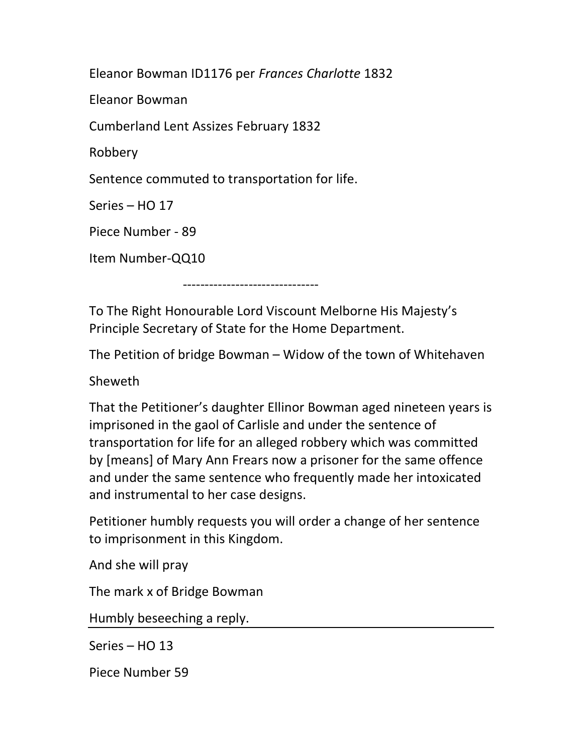Eleanor Bowman ID1176 per Frances Charlotte 1832

Eleanor Bowman

Cumberland Lent Assizes February 1832

Robbery

Sentence commuted to transportation for life.

Series – HO 17

Piece Number - 89

Item Number-QQ10

To The Right Honourable Lord Viscount Melborne His Majesty's

Principle Secretary of State for the Home Department.

-------------------------------

The Petition of bridge Bowman – Widow of the town of Whitehaven

Sheweth

That the Petitioner's daughter Ellinor Bowman aged nineteen years is imprisoned in the gaol of Carlisle and under the sentence of transportation for life for an alleged robbery which was committed by [means] of Mary Ann Frears now a prisoner for the same offence and under the same sentence who frequently made her intoxicated and instrumental to her case designs.

Petitioner humbly requests you will order a change of her sentence to imprisonment in this Kingdom.

And she will pray

The mark x of Bridge Bowman

Humbly beseeching a reply.

Series – HO 13

Piece Number 59